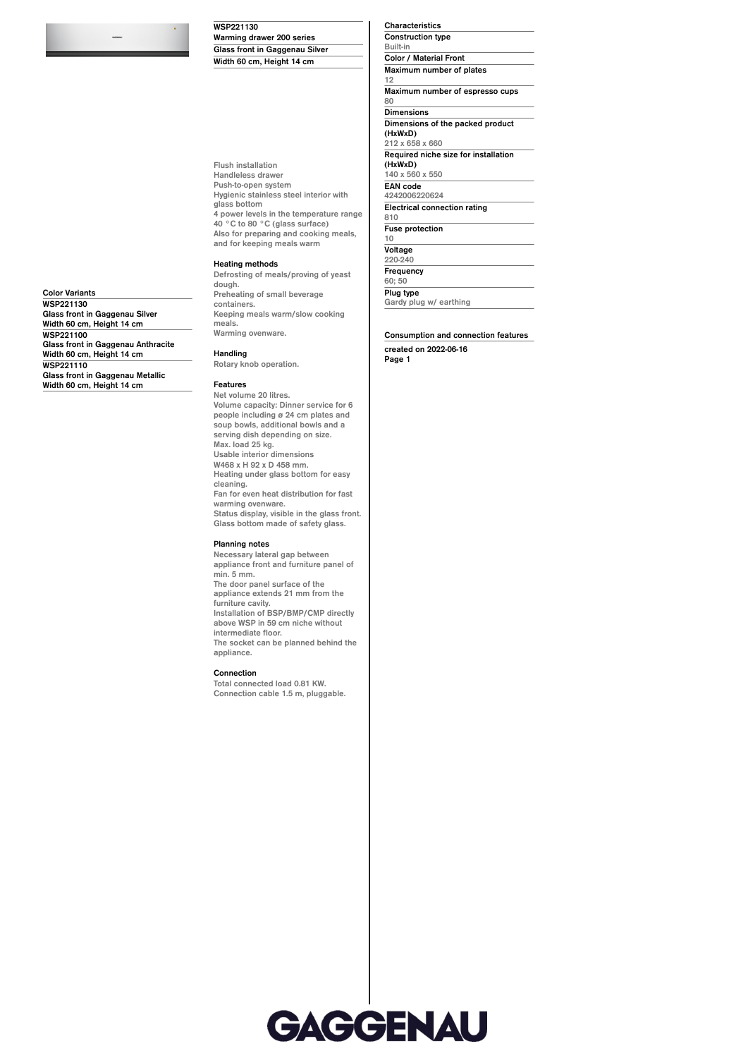**WSP221130 Warming drawer 200 series Glass front in Gaggenau Silver Width 60 cm, Height 14 cm**

**Flush installation Handleless drawer Push-to-open system Hygienic stainless steel interior with glass bottom 4 power levels in the temperature range 40 °C to 80 °C (glass surface) Also for preparing and cooking meals, and for keeping meals warm**

### **Heating methods**

**Defrosting of meals/proving of yeast dough. Preheating of small beverage containers. Keeping meals warm/slow cooking meals. Warming ovenware.**

**Glass front in Gaggenau Anthracite Handling**

# **Glass front in Gaggenau Metallic Width 60 cm, Height 14 cm**

**Glass front in Gaggenau Silver Width 60 cm, Height 14 cm**

**Width 60 cm, Height 14 cm**

**Color Variants WSP221130**

**WSP221100**

**WSP221110**

**Rotary knob operation.**

#### **Features Net volume 20 litres.**

**Volume capacity: Dinner service for 6 people including ø 24 cm plates and soup bowls, additional bowls and a serving dish depending on size. Max. load 25 kg. Usable interior dimensions W468 x H 92 x D 458 mm. Heating under glass bottom for easy cleaning. Fan for even heat distribution for fast warming ovenware. Status display, visible in the glass front. Glass bottom made of safety glass.**

#### **Planning notes**

**Necessary lateral gap between appliance front and furniture panel of min. 5 mm. The door panel surface of the appliance extends 21 mm from the furniture cavity. Installation of BSP/BMP/CMP directly above WSP in 59 cm niche without intermediate floor. The socket can be planned behind the appliance.**

#### **Connection**

**Total connected load 0.81 KW. Connection cable 1.5 m, pluggable.** **Characteristics Construction type Built-in Color / Material Front Maximum number of plates 12 Maximum number of espresso cups 80 Dimensions Dimensions of the packed product (HxWxD) 212 x 658 x 660 Required niche size for installation (HxWxD) 140 x 560 x 550 EAN code 4242006220624 Electrical connection rating 810 Fuse protection 10 Voltage**

**220-240 Frequency 60; 50 Plug type**

**Gardy plug w/ earthing**

## **Consumption and connection features**

**created on 2022-06-16 Page 1**